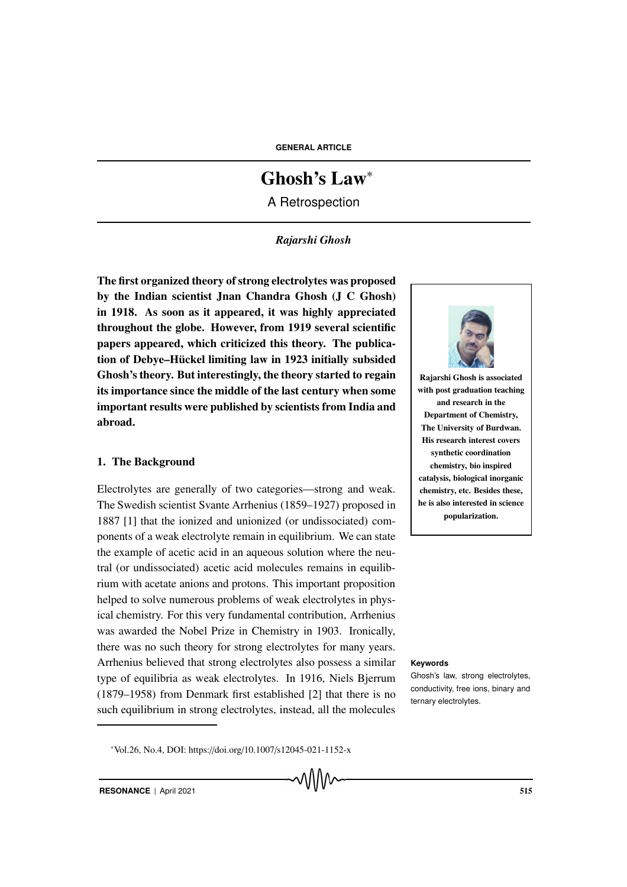**GENERAL ARTICLE**

# Ghosh's Law<sup>∗</sup>

A Retrospection

# *Rajarshi Ghosh*

The first organized theory of strong electrolytes was proposed by the Indian scientist Jnan Chandra Ghosh (J C Ghosh) in 1918. As soon as it appeared, it was highly appreciated throughout the globe. However, from 1919 several scientific papers appeared, which criticized this theory. The publication of Debye–Hückel limiting law in 1923 initially subsided Ghosh's theory. But interestingly, the theory started to regain its importance since the middle of the last century when some important results were published by scientists from India and abroad.

### 1. The Background

Electrolytes are generally of two categories—strong and weak. The Swedish scientist Svante Arrhenius (1859–1927) proposed in 1887 [1] that the ionized and unionized (or undissociated) components of a weak electrolyte remain in equilibrium. We can state the example of acetic acid in an aqueous solution where the neutral (or undissociated) acetic acid molecules remains in equilibrium with acetate anions and protons. This important proposition helped to solve numerous problems of weak electrolytes in physical chemistry. For this very fundamental contribution, Arrhenius was awarded the Nobel Prize in Chemistry in 1903. Ironically, there was no such theory for strong electrolytes for many years. Arrhenius believed that strong electrolytes also possess a similar **Keywords** type of equilibria as weak electrolytes. In 1916, Niels Bjerrum (1879–1958) from Denmark first established [2] that there is no such equilibrium in strong electrolytes, instead, all the molecules



Rajarshi Ghosh is associated with post graduation teaching and research in the Department of Chemistry, The University of Burdwan. His research interest covers synthetic coordination chemistry, bio inspired catalysis, biological inorganic chemistry, etc. Besides these, he is also interested in science popularization.

Ghosh's law, strong electrolytes, conductivity, free ions, binary and ternary electrolytes.

<sup>∗</sup>Vol.26, No.4, DOI: https://doi.org/10.1007/s12045-021-1152-x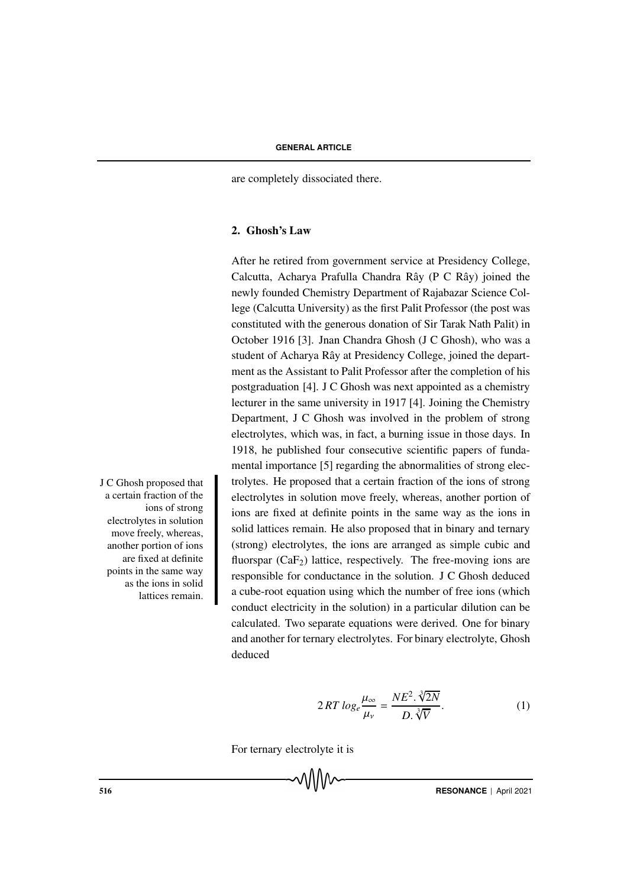are completely dissociated there.

#### 2. Ghosh's Law

After he retired from government service at Presidency College, Calcutta, Acharya Prafulla Chandra Rây (P C Rây) joined the newly founded Chemistry Department of Rajabazar Science College (Calcutta University) as the first Palit Professor (the post was constituted with the generous donation of Sir Tarak Nath Palit) in October 1916 [3]. Jnan Chandra Ghosh (J C Ghosh), who was a student of Acharya Rây at Presidency College, joined the department as the Assistant to Palit Professor after the completion of his postgraduation [4]. J C Ghosh was next appointed as a chemistry lecturer in the same university in 1917 [4]. Joining the Chemistry Department, J C Ghosh was involved in the problem of strong electrolytes, which was, in fact, a burning issue in those days. In 1918, he published four consecutive scientific papers of fundamental importance [5] regarding the abnormalities of strong electrolytes. He proposed that a certain fraction of the ions of strong electrolytes in solution move freely, whereas, another portion of ions are fixed at definite points in the same way as the ions in solid lattices remain. He also proposed that in binary and ternary (strong) electrolytes, the ions are arranged as simple cubic and fluorspar  $(CaF<sub>2</sub>)$  lattice, respectively. The free-moving ions are responsible for conductance in the solution. J C Ghosh deduced a cube-root equation using which the number of free ions (which conduct electricity in the solution) in a particular dilution can be calculated. Two separate equations were derived. One for binary and another for ternary electrolytes. For binary electrolyte, Ghosh deduced

$$
2RT \log_e \frac{\mu_{\infty}}{\mu_v} = \frac{NE^2 \cdot \sqrt[3]{2N}}{D \cdot \sqrt[3]{V}}.
$$
 (1)

For ternary electrolyte it is

J C Ghosh proposed that a certain fraction of the ions of strong electrolytes in solution move freely, whereas, another portion of ions are fixed at definite points in the same way as the ions in solid lattices remain.

**EXECUTE:** The RESONANCE | April 2021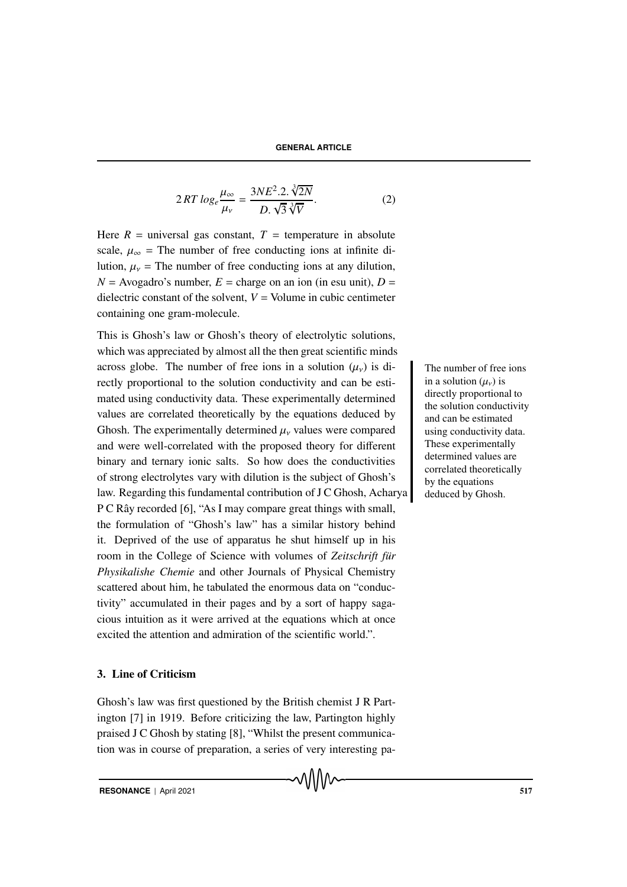$$
2RT \log_e \frac{\mu_\infty}{\mu_v} = \frac{3NE^2.2. \sqrt[3]{2N}}{D. \sqrt{3} \sqrt[3]{V}}.
$$
 (2)

Here  $R =$  universal gas constant,  $T =$  temperature in absolute scale,  $\mu_{\infty}$  = The number of free conducting ions at infinite dilution,  $\mu_{\nu}$  = The number of free conducting ions at any dilution,  $N =$  Avogadro's number,  $E =$  charge on an ion (in esu unit),  $D =$ dielectric constant of the solvent,  $V =$  Volume in cubic centimeter containing one gram-molecule.

This is Ghosh's law or Ghosh's theory of electrolytic solutions, which was appreciated by almost all the then great scientific minds across globe. The number of free ions in a solution  $(\mu_{\nu})$  is di-<br>The number of free ions rectly proportional to the solution conductivity and can be estimated using conductivity data. These experimentally determined values are correlated theoretically by the equations deduced by Ghosh. The experimentally determined  $\mu<sub>v</sub>$  values were compared and were well-correlated with the proposed theory for different binary and ternary ionic salts. So how does the conductivities of strong electrolytes vary with dilution is the subject of Ghosh's law. Regarding this fundamental contribution of J C Ghosh, Acharya P C Rây recorded [6], "As I may compare great things with small, the formulation of "Ghosh's law" has a similar history behind it. Deprived of the use of apparatus he shut himself up in his room in the College of Science with volumes of *Zeitschrift für Physikalishe Chemie* and other Journals of Physical Chemistry scattered about him, he tabulated the enormous data on "conductivity" accumulated in their pages and by a sort of happy sagacious intuition as it were arrived at the equations which at once excited the attention and admiration of the scientific world.".

# 3. Line of Criticism

Ghosh's law was first questioned by the British chemist J R Partington [7] in 1919. Before criticizing the law, Partington highly praised J C Ghosh by stating [8], "Whilst the present communication was in course of preparation, a series of very interesting pain a solution  $(\mu_{\nu})$  is directly proportional to the solution conductivity and can be estimated using conductivity data. These experimentally determined values are correlated theoretically by the equations deduced by Ghosh.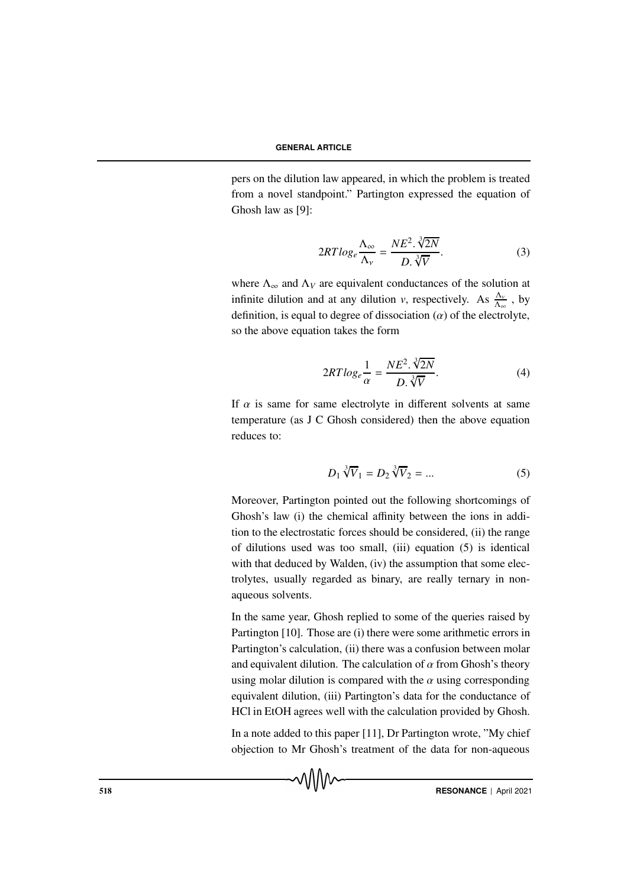pers on the dilution law appeared, in which the problem is treated from a novel standpoint." Partington expressed the equation of Ghosh law as [9]:

$$
2RT \log_e \frac{\Lambda_{\infty}}{\Lambda_{\nu}} = \frac{NE^2 \cdot \sqrt[3]{2N}}{D \cdot \sqrt[3]{V}}.
$$
 (3)

where  $\Lambda_{\infty}$  and  $\Lambda_V$  are equivalent conductances of the solution at infinite dilution and at any dilution *v*, respectively. As  $\frac{\Delta_v}{\Delta_{\infty}}$ , by definition, is equal to degree of dissociation  $(\alpha)$  of the electrolyte, so the above equation takes the form

$$
2RT \log_e \frac{1}{\alpha} = \frac{NE^2 \cdot \sqrt[3]{2N}}{D \cdot \sqrt[3]{V}}.
$$
 (4)

If  $\alpha$  is same for same electrolyte in different solvents at same temperature (as J C Ghosh considered) then the above equation reduces to:

$$
D_1 \sqrt[3]{V}_1 = D_2 \sqrt[3]{V}_2 = \dots \tag{5}
$$

Moreover, Partington pointed out the following shortcomings of Ghosh's law (i) the chemical affinity between the ions in addition to the electrostatic forces should be considered, (ii) the range of dilutions used was too small, (iii) equation (5) is identical with that deduced by Walden, (iv) the assumption that some electrolytes, usually regarded as binary, are really ternary in nonaqueous solvents.

In the same year, Ghosh replied to some of the queries raised by Partington [10]. Those are (i) there were some arithmetic errors in Partington's calculation, (ii) there was a confusion between molar and equivalent dilution. The calculation of  $\alpha$  from Ghosh's theory using molar dilution is compared with the  $\alpha$  using corresponding equivalent dilution, (iii) Partington's data for the conductance of HCl in EtOH agrees well with the calculation provided by Ghosh.

In a note added to this paper [11], Dr Partington wrote, "My chief objection to Mr Ghosh's treatment of the data for non-aqueous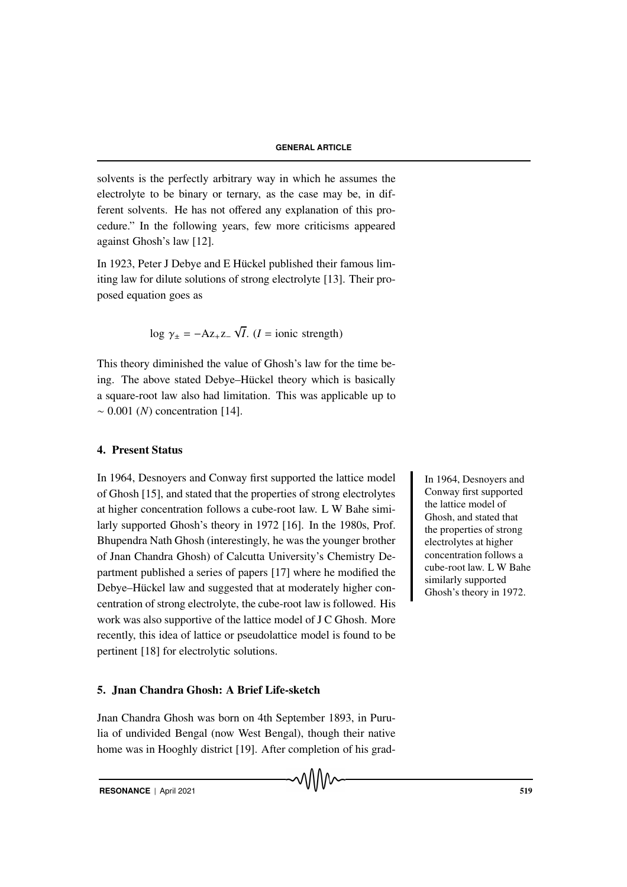solvents is the perfectly arbitrary way in which he assumes the electrolyte to be binary or ternary, as the case may be, in different solvents. He has not offered any explanation of this procedure." In the following years, few more criticisms appeared against Ghosh's law [12].

In 1923, Peter J Debye and E Hückel published their famous limiting law for dilute solutions of strong electrolyte [13]. Their proposed equation goes as

$$
\log \gamma_{\pm} = -A z_{+} z_{-} \sqrt{I}.
$$
 (*I* = ionic strength)

This theory diminished the value of Ghosh's law for the time being. The above stated Debye–Hückel theory which is basically a square-root law also had limitation. This was applicable up to ∼ 0.001 (*N*) concentration [14].

# 4. Present Status

In 1964, Desnoyers and Conway first supported the lattice model In 1964, Desnoyers and of Ghosh [15], and stated that the properties of strong electrolytes at higher concentration follows a cube-root law. L W Bahe similarly supported Ghosh's theory in 1972 [16]. In the 1980s, Prof. Bhupendra Nath Ghosh (interestingly, he was the younger brother of Jnan Chandra Ghosh) of Calcutta University's Chemistry Department published a series of papers [17] where he modified the Debye–Hückel law and suggested that at moderately higher concentration of strong electrolyte, the cube-root law is followed. His work was also supportive of the lattice model of J C Ghosh. More recently, this idea of lattice or pseudolattice model is found to be pertinent [18] for electrolytic solutions.

#### 5. Jnan Chandra Ghosh: A Brief Life-sketch

Jnan Chandra Ghosh was born on 4th September 1893, in Purulia of undivided Bengal (now West Bengal), though their native home was in Hooghly district [19]. After completion of his gradConway first supported the lattice model of Ghosh, and stated that the properties of strong electrolytes at higher concentration follows a cube-root law. L W Bahe similarly supported Ghosh's theory in 1972.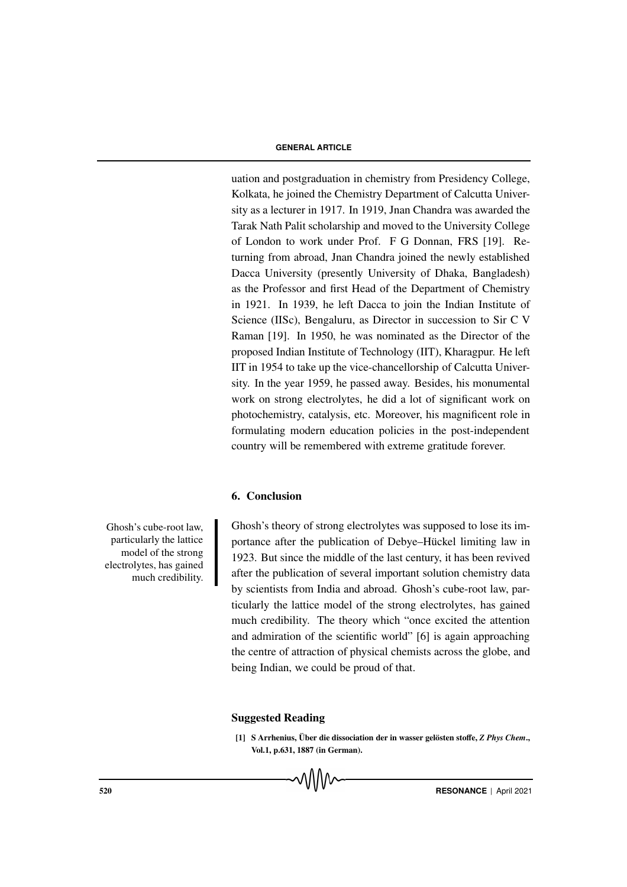#### **GENERAL ARTICLE**

uation and postgraduation in chemistry from Presidency College, Kolkata, he joined the Chemistry Department of Calcutta University as a lecturer in 1917. In 1919, Jnan Chandra was awarded the Tarak Nath Palit scholarship and moved to the University College of London to work under Prof. F G Donnan, FRS [19]. Returning from abroad, Jnan Chandra joined the newly established Dacca University (presently University of Dhaka, Bangladesh) as the Professor and first Head of the Department of Chemistry in 1921. In 1939, he left Dacca to join the Indian Institute of Science (IISc), Bengaluru, as Director in succession to Sir C V Raman [19]. In 1950, he was nominated as the Director of the proposed Indian Institute of Technology (IIT), Kharagpur. He left IIT in 1954 to take up the vice-chancellorship of Calcutta University. In the year 1959, he passed away. Besides, his monumental work on strong electrolytes, he did a lot of significant work on photochemistry, catalysis, etc. Moreover, his magnificent role in formulating modern education policies in the post-independent country will be remembered with extreme gratitude forever.

### 6. Conclusion

Ghosh's cube-root law, particularly the lattice model of the strong electrolytes, has gained much credibility. Ghosh's theory of strong electrolytes was supposed to lose its importance after the publication of Debye–Hückel limiting law in 1923. But since the middle of the last century, it has been revived after the publication of several important solution chemistry data by scientists from India and abroad. Ghosh's cube-root law, particularly the lattice model of the strong electrolytes, has gained much credibility. The theory which "once excited the attention and admiration of the scientific world" [6] is again approaching the centre of attraction of physical chemists across the globe, and being Indian, we could be proud of that.

#### Suggested Reading

[1] S Arrhenius, Über die dissociation der in wasser gelösten stoffe, *Z Phys Chem.*, Vol.1, p.631, 1887 (in German).

520 **RESONANCE** | April 2021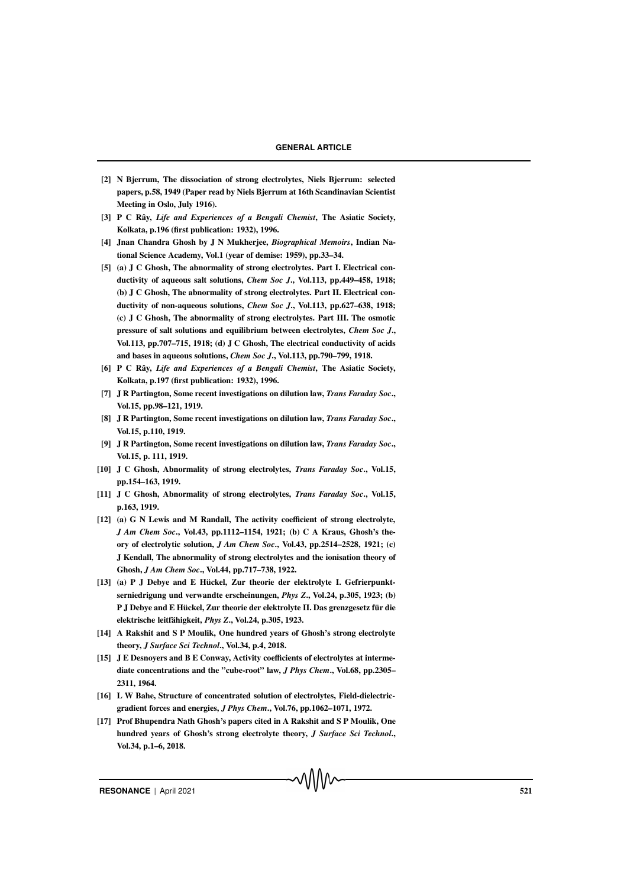- [2] N Bjerrum, The dissociation of strong electrolytes, Niels Bjerrum: selected papers, p.58, 1949 (Paper read by Niels Bjerrum at 16th Scandinavian Scientist Meeting in Oslo, July 1916).
- [3] P C Rây, *Life and Experiences of a Bengali Chemist*, The Asiatic Society, Kolkata, p.196 (first publication: 1932), 1996.
- [4] Jnan Chandra Ghosh by J N Mukherjee, *Biographical Memoirs*, Indian National Science Academy, Vol.1 (year of demise: 1959), pp.33–34.
- [5] (a) J C Ghosh, The abnormality of strong electrolytes. Part I. Electrical conductivity of aqueous salt solutions, *Chem Soc J*., Vol.113, pp.449–458, 1918; (b) J C Ghosh, The abnormality of strong electrolytes. Part II. Electrical conductivity of non-aqueous solutions, *Chem Soc J*., Vol.113, pp.627–638, 1918; (c) J C Ghosh, The abnormality of strong electrolytes. Part III. The osmotic pressure of salt solutions and equilibrium between electrolytes, *Chem Soc J*., Vol.113, pp.707–715, 1918; (d) J C Ghosh, The electrical conductivity of acids and bases in aqueous solutions, *Chem Soc J*., Vol.113, pp.790–799, 1918.
- [6] P C Rây, *Life and Experiences of a Bengali Chemist*, The Asiatic Society, Kolkata, p.197 (first publication: 1932), 1996.
- [7] J R Partington, Some recent investigations on dilution law, *Trans Faraday Soc*., Vol.15, pp.98–121, 1919.
- [8] J R Partington, Some recent investigations on dilution law, *Trans Faraday Soc*., Vol.15, p.110, 1919.
- [9] J R Partington, Some recent investigations on dilution law, *Trans Faraday Soc*., Vol.15, p. 111, 1919.
- [10] J C Ghosh, Abnormality of strong electrolytes, *Trans Faraday Soc*., Vol.15, pp.154–163, 1919.
- [11] J C Ghosh, Abnormality of strong electrolytes, *Trans Faraday Soc*., Vol.15, p.163, 1919.
- [12] (a) G N Lewis and M Randall, The activity coefficient of strong electrolyte, *J Am Chem Soc*., Vol.43, pp.1112–1154, 1921; (b) C A Kraus, Ghosh's theory of electrolytic solution, *J Am Chem Soc*., Vol.43, pp.2514–2528, 1921; (c) J Kendall, The abnormality of strong electrolytes and the ionisation theory of Ghosh, *J Am Chem Soc*., Vol.44, pp.717–738, 1922.
- [13] (a) P J Debye and E Hückel, Zur theorie der elektrolyte I. Gefrierpunktserniedrigung und verwandte erscheinungen, *Phys Z*., Vol.24, p.305, 1923; (b) P J Debye and E Hückel, Zur theorie der elektrolyte II. Das grenzgesetz für die elektrische leitfähigkeit, Phys Z., Vol.24, p.305, 1923.
- [14] A Rakshit and S P Moulik, One hundred years of Ghosh's strong electrolyte theory, *J Surface Sci Technol*., Vol.34, p.4, 2018.
- [15] J E Desnoyers and B E Conway, Activity coefficients of electrolytes at intermediate concentrations and the "cube-root" law, *J Phys Chem*., Vol.68, pp.2305– 2311, 1964.
- [16] L W Bahe, Structure of concentrated solution of electrolytes, Field-dielectricgradient forces and energies, *J Phys Chem*., Vol.76, pp.1062–1071, 1972.
- [17] Prof Bhupendra Nath Ghosh's papers cited in A Rakshit and S P Moulik, One hundred years of Ghosh's strong electrolyte theory, *J Surface Sci Technol*., Vol.34, p.1–6, 2018.